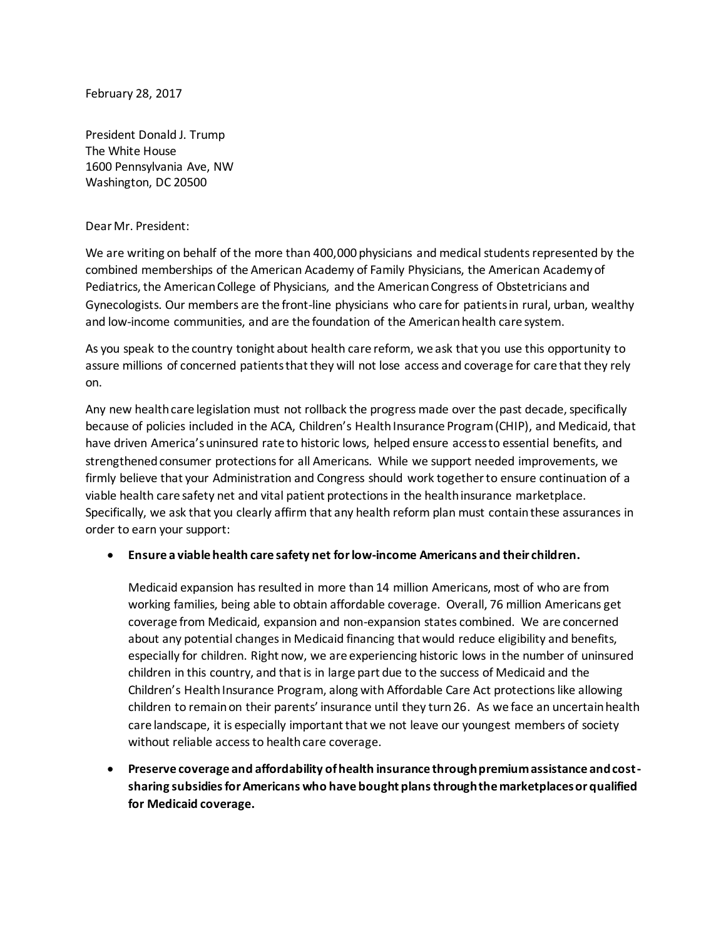February 28, 2017

President Donald J. Trump The White House 1600 Pennsylvania Ave, NW Washington, DC 20500

## Dear Mr. President:

We are writing on behalf of the more than 400,000 physicians and medical students represented by the combined memberships of the American Academy of Family Physicians, the American Academy of Pediatrics, the American College of Physicians, and the American Congress of Obstetricians and Gynecologists. Our members are the front-line physicians who care for patientsin rural, urban, wealthy and low-income communities, and are the foundation of the American health care system.

As you speak to the country tonight about health care reform, we ask that you use this opportunity to assure millions of concerned patients that they will not lose access and coverage for care that they rely on.

Any new health care legislation must not rollback the progress made over the past decade, specifically because of policies included in the ACA, Children's Health Insurance Program (CHIP), and Medicaid, that have driven America'suninsured rate to historic lows, helped ensure access to essential benefits, and strengthened consumer protections for all Americans. While we support needed improvements, we firmly believe that your Administration and Congress should work together to ensure continuation of a viable health care safety net and vital patient protections in the health insurance marketplace. Specifically, we ask that you clearly affirm that any health reform plan must contain these assurances in order to earn your support:

## **Ensure a viable health care safety net for low-income Americans and their children.**

Medicaid expansion has resulted in more than 14 million Americans, most of who are from working families, being able to obtain affordable coverage. Overall, 76 million Americans get coverage from Medicaid, expansion and non-expansion states combined. We are concerned about any potential changes in Medicaid financing that would reduce eligibility and benefits, especially for children. Right now, we are experiencing historic lows in the number of uninsured children in this country, and that is in large part due to the success of Medicaid and the Children's Health Insurance Program, along with Affordable Care Act protections like allowing children to remain on their parents' insurance until they turn 26. As we face an uncertain health care landscape, it is especially important that we not leave our youngest members of society without reliable access to health care coverage.

**•** Preserve coverage and affordability of health insurance through premium assistance and cost**sharing subsidies for Americans who have bought plans through the marketplaces or qualified for Medicaid coverage.**